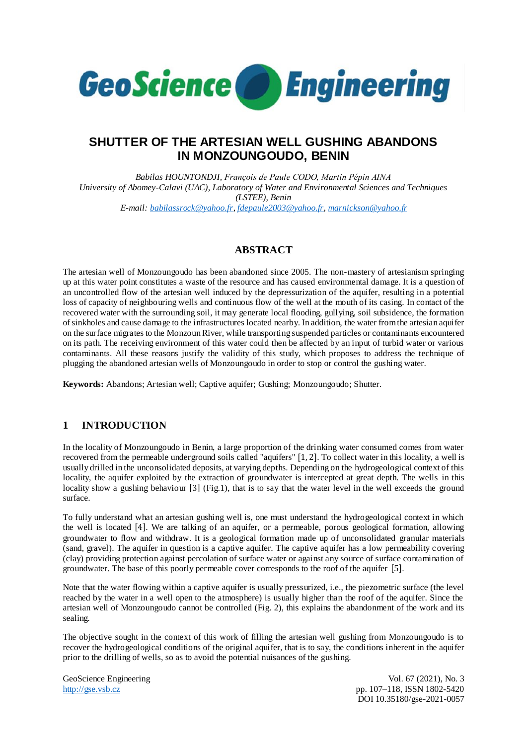

# **SHUTTER OF THE ARTESIAN WELL GUSHING ABANDONS IN MONZOUNGOUDO, BENIN**

*Babilas HOUNTONDJI, François de Paule CODO, Martin Pépin AINA University of Abomey-Calavi (UAC), Laboratory of Water and Environmental Sciences and Techniques (LSTEE), Benin E-mail: [babilassrock@yahoo.fr,](mailto:babilassrock@yahoo.fr) [fdepaule2003@yahoo.fr,](mailto:fdepaule2003@yahoo.fr) [marnickson@yahoo.fr](mailto:marnickson@yahoo.fr)*

## **ABSTRACT**

The artesian well of Monzoungoudo has been abandoned since 2005. The non-mastery of artesianism springing up at this water point constitutes a waste of the resource and has caused environmental damage. It is a question of an uncontrolled flow of the artesian well induced by the depressurization of the aquifer, resulting in a potential loss of capacity of neighbouring wells and continuous flow of the well at the mouth of its casing. In contact of the recovered water with the surrounding soil, it may generate local flooding, gullying, soil subsidence, the formation of sinkholes and cause damage to the infrastructures located nearby. In addition, the water from the artesian aquifer on the surface migrates to the Monzoun River, while transporting suspended particles or contaminants encountered on its path. The receiving environment of this water could then be affected by an input of turbid water or various contaminants. All these reasons justify the validity of this study, which proposes to address the technique of plugging the abandoned artesian wells of Monzoungoudo in order to stop or control the gushing water.

**Keywords:** Abandons; Artesian well; Captive aquifer; Gushing; Monzoungoudo; Shutter.

# **1 INTRODUCTION**

In the locality of Monzoungoudo in Benin, a large proportion of the drinking water consumed comes from water recovered from the permeable underground soils called "aquifers" [1, 2]. To collect water in this locality, a well is usually drilled in the unconsolidated deposits, at varying depths. Depending on the hydrogeological context of this locality, the aquifer exploited by the extraction of groundwater is intercepted at great depth. The wells in this locality show a gushing behaviour [3] (Fig.1), that is to say that the water level in the well exceeds the ground surface.

To fully understand what an artesian gushing well is, one must understand the hydrogeological context in which the well is located [4]. We are talking of an aquifer, or a permeable, porous geological formation, allowing groundwater to flow and withdraw. It is a geological formation made up of unconsolidated granular materials (sand, gravel). The aquifer in question is a captive aquifer. The captive aquifer has a low permeability covering (clay) providing protection against percolation of surface water or against any source of surface contamination of groundwater. The base of this poorly permeable cover corresponds to the roof of the aquifer [5].

Note that the water flowing within a captive aquifer is usually pressurized, i.e., the piezometric surface (the level reached by the water in a well open to the atmosphere) is usually higher than the roof of the aquifer. Since the artesian well of Monzoungoudo cannot be controlled (Fig. 2), this explains the abandonment of the work and its sealing.

The objective sought in the context of this work of filling the artesian well gushing from Monzoungoudo is to recover the hydrogeological conditions of the original aquifer, that is to say, the conditions inherent in the aquifer prior to the drilling of wells, so as to avoid the potential nuisances of the gushing.

GeoScience Engineering Vol. 67 (2021), No. 3<br>http://gse.vsb.cz<br>pp. 107-118, ISSN 1802-5420 pp. 107–118, ISSN 1802-5420 DOI 10.35180/gse-2021-0057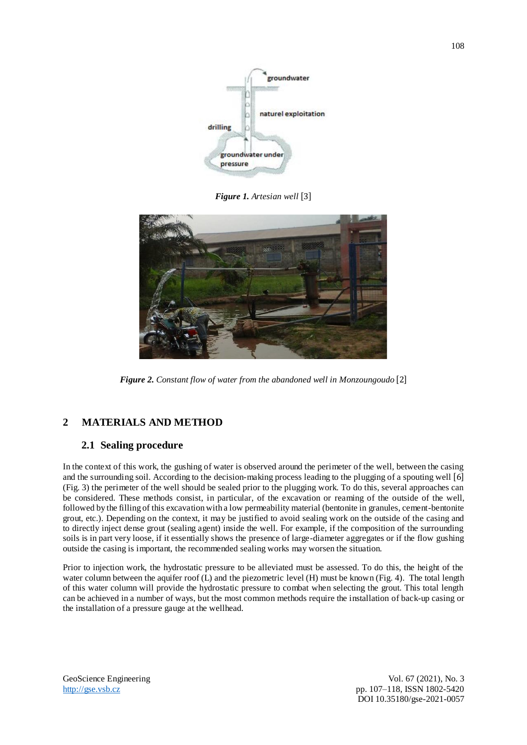

*Figure 1. Artesian well* [3]



*Figure 2. Constant flow of water from the abandoned well in Monzoungoudo* [2]

# **2 MATERIALS AND METHOD**

### **2.1 Sealing procedure**

In the context of this work, the gushing of water is observed around the perimeter of the well, between the casing and the surrounding soil. According to the decision-making process leading to the plugging of a spouting well [6] (Fig. 3) the perimeter of the well should be sealed prior to the plugging work. To do this, several approaches can be considered. These methods consist, in particular, of the excavation or reaming of the outside of the well, followed by the filling of this excavation with a low permeability material (bentonite in granules, cement-bentonite grout, etc.). Depending on the context, it may be justified to avoid sealing work on the outside of the casing and to directly inject dense grout (sealing agent) inside the well. For example, if the composition of the surrounding soils is in part very loose, if it essentially shows the presence of large-diameter aggregates or if the flow gushing outside the casing is important, the recommended sealing works may worsen the situation.

Prior to injection work, the hydrostatic pressure to be alleviated must be assessed. To do this, the height of the water column between the aquifer roof (L) and the piezometric level (H) must be known (Fig. 4). The total length of this water column will provide the hydrostatic pressure to combat when selecting the grout. This total length can be achieved in a number of ways, but the most common methods require the installation of back-up casing or the installation of a pressure gauge at the wellhead.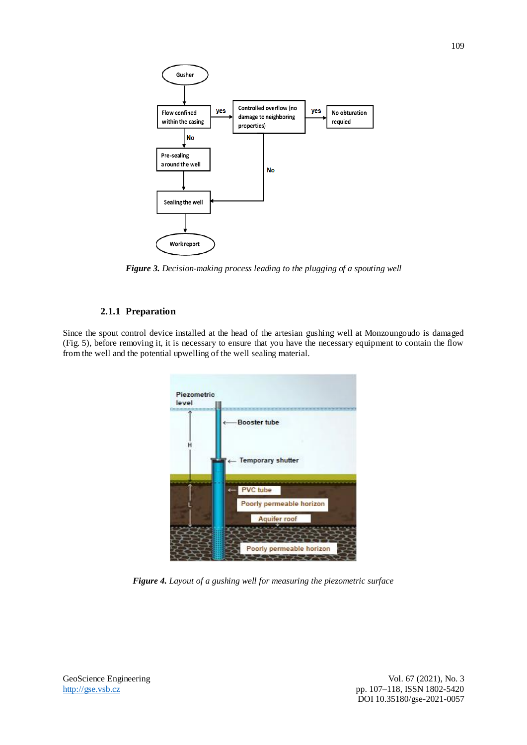

*Figure 3. Decision-making process leading to the plugging of a spouting well*

#### **2.1.1 Preparation**

Since the spout control device installed at the head of the artesian gushing well at Monzoungoudo is damaged (Fig. 5), before removing it, it is necessary to ensure that you have the necessary equipment to contain the flow from the well and the potential upwelling of the well sealing material.



*Figure 4. Layout of a gushing well for measuring the piezometric surface*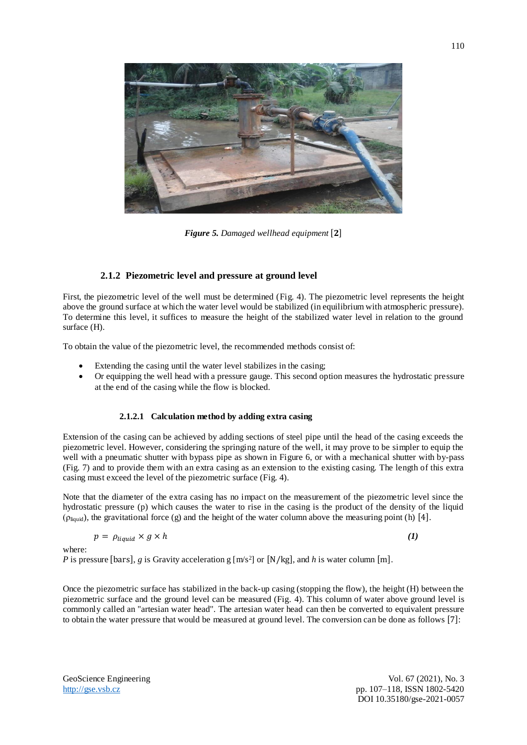

*Figure* 5. *Damaged wellhead equipment* [2]

#### **2.1.2 Piezometric level and pressure at ground level**

First, the piezometric level of the well must be determined (Fig. 4). The piezometric level represents the height above the ground surface at which the water level would be stabilized (in equilibrium with atmospheric pressure). To determine this level, it suffices to measure the height of the stabilized water level in relation to the ground surface (H).

To obtain the value of the piezometric level, the recommended methods consist of:

- Extending the casing until the water level stabilizes in the casing;
- Or equipping the well head with a pressure gauge. This second option measures the hydrostatic pressure at the end of the casing while the flow is blocked.

#### **2.1.2.1 Calculation method by adding extra casing**

Extension of the casing can be achieved by adding sections of steel pipe until the head of the casing exceeds the piezometric level. However, considering the springing nature of the well, it may prove to be simpler to equip the well with a pneumatic shutter with bypass pipe as shown in Figure 6, or with a mechanical shutter with by-pass (Fig. 7) and to provide them with an extra casing as an extension to the existing casing. The length of this extra casing must exceed the level of the piezometric surface (Fig. 4).

Note that the diameter of the extra casing has no impact on the measurement of the piezometric level since the hydrostatic pressure (p) which causes the water to rise in the casing is the product of the density of the liquid ( $\rho_{\text{liquid}}$ ), the gravitational force (g) and the height of the water column above the measuring point (h) [4].

$$
p = \rho_{liquid} \times g \times h \tag{1}
$$

where:

*P* is pressure [bars], *g* is Gravity acceleration g [m/s<sup>2</sup>] or [N/kg], and *h* is water column [m].

Once the piezometric surface has stabilized in the back-up casing (stopping the flow), the height (H) between the piezometric surface and the ground level can be measured (Fig. 4). This column of water above ground level is commonly called an "artesian water head". The artesian water head can then be converted to equivalent pressure to obtain the water pressure that would be measured at ground level. The conversion can be done as follows [7]: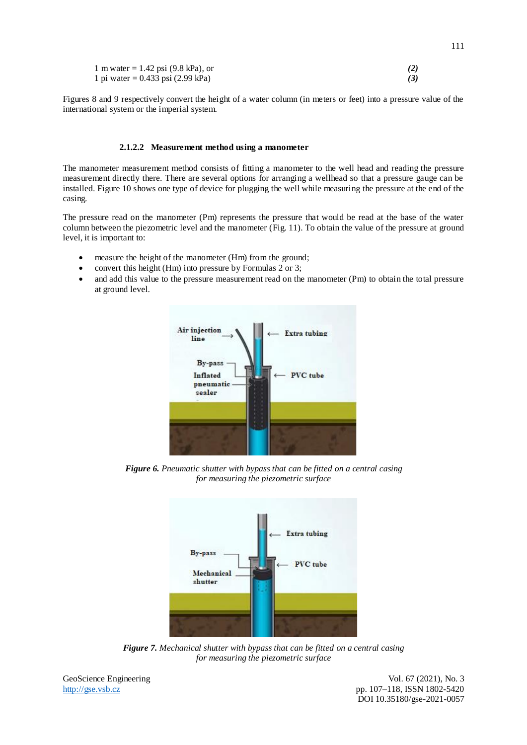| 1 m water = $1.42$ psi (9.8 kPa), or |  |
|--------------------------------------|--|
| 1 pi water = 0.433 psi (2.99 kPa)    |  |

Figures 8 and 9 respectively convert the height of a water column (in meters or feet) into a pressure value of the international system or the imperial system.

#### **2.1.2.2 Measurement method using a manometer**

The manometer measurement method consists of fitting a manometer to the well head and reading the pressure measurement directly there. There are several options for arranging a wellhead so that a pressure gauge can be installed. Figure 10 shows one type of device for plugging the well while measuring the pressure at the end of the casing.

The pressure read on the manometer (Pm) represents the pressure that would be read at the base of the water column between the piezometric level and the manometer (Fig. 11). To obtain the value of the pressure at ground level, it is important to:

- measure the height of the manometer (Hm) from the ground;
- convert this height (Hm) into pressure by Formulas 2 or 3;
- and add this value to the pressure measurement read on the manometer (Pm) to obtain the total pressure at ground level.



*Figure 6. Pneumatic shutter with bypass that can be fitted on a central casing for measuring the piezometric surface*



*Figure 7. Mechanical shutter with bypass that can be fitted on a central casing for measuring the piezometric surface*

GeoScience Engineering Vol. 67 (2021), No. 3 [http://gse.vsb.cz](http://gse.vsb.cz/) pp. 107–118, ISSN 1802-5420 DOI 10.35180/gse-2021-0057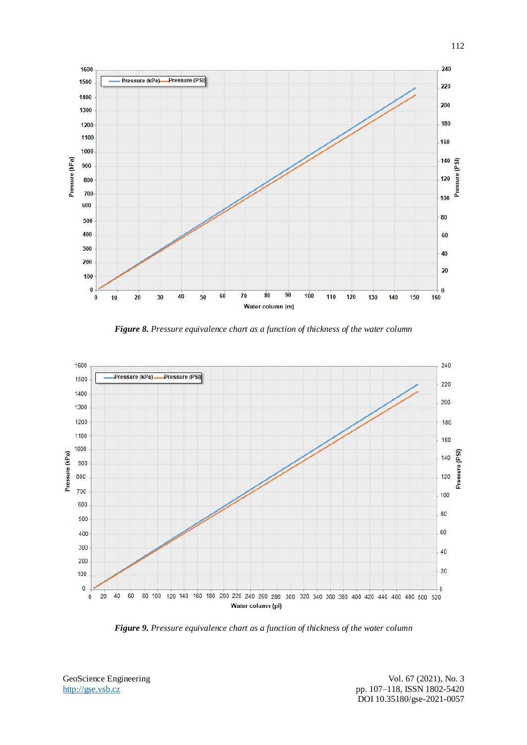

*Figure 8. Pressure equivalence chart as a function of thickness of the water column*



*Figure 9. Pressure equivalence chart as a function of thickness of the water column*

GeoScience Engineering Vol. 67 (2021), No. 3

[http://gse.vsb.cz](http://gse.vsb.cz/) pp. 107–118, ISSN 1802-5420 DOI 10.35180/gse-2021-0057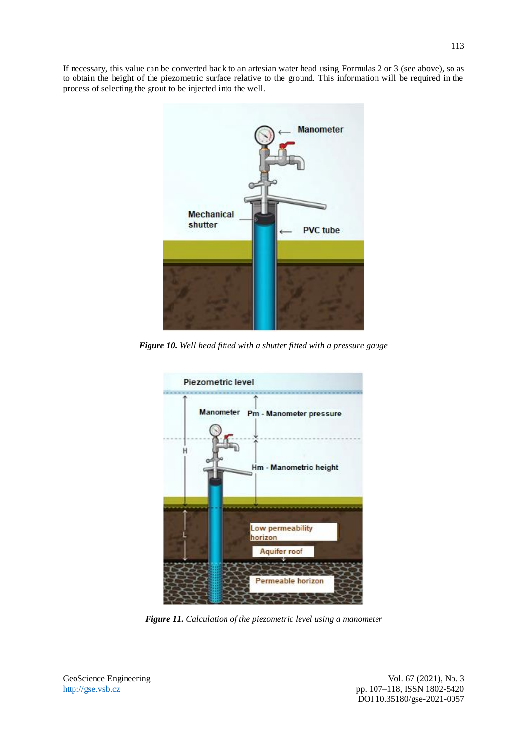If necessary, this value can be converted back to an artesian water head using Formulas 2 or 3 (see above), so as to obtain the height of the piezometric surface relative to the ground. This information will be required in the process of selecting the grout to be injected into the well.



*Figure 10. Well head fitted with a shutter fitted with a pressure gauge*



*Figure 11. Calculation of the piezometric level using a manometer*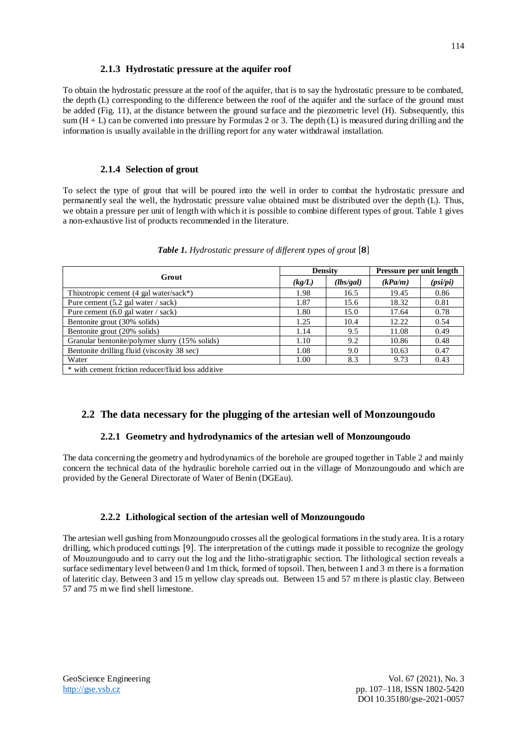#### **2.1.3 Hydrostatic pressure at the aquifer roof**

To obtain the hydrostatic pressure at the roof of the aquifer, that is to say the hydrostatic pressure to be combated, the depth (L) corresponding to the difference between the roof of the aquifer and the surface of the ground must be added (Fig. 11), at the distance between the ground surface and the piezometric level (H). Subsequently, this sum  $(H + L)$  can be converted into pressure by Formulas 2 or 3. The depth (L) is measured during drilling and the information is usually available in the drilling report for any water withdrawal installation.

#### **2.1.4 Selection of grout**

To select the type of grout that will be poured into the well in order to combat the hydrostatic pressure and permanently seal the well, the hydrostatic pressure value obtained must be distributed over the depth (L). Thus, we obtain a pressure per unit of length with which it is possible to combine different types of grout. Table 1 gives a non-exhaustive list of products recommended in the literature.

| Grout                                              | <b>Density</b> |           | Pressure per unit length |          |
|----------------------------------------------------|----------------|-----------|--------------------------|----------|
|                                                    | (kg/L)         | (lbs/gal) | (kPa/m)                  | (psi/pi) |
| Thixotropic cement $(4$ gal water/sack*)           | 1.98           | 16.5      | 19.45                    | 0.86     |
| Pure cement (5.2 gal water / sack)                 | 1.87           | 15.6      | 18.32                    | 0.81     |
| Pure cement (6.0 gal water / sack)                 | 1.80           | 15.0      | 17.64                    | 0.78     |
| Bentonite grout (30% solids)                       | 1.25           | 10.4      | 12.22                    | 0.54     |
| Bentonite grout (20% solids)                       | 1.14           | 9.5       | 11.08                    | 0.49     |
| Granular bentonite/polymer slurry (15% solids)     | 1.10           | 9.2       | 10.86                    | 0.48     |
| Bentonite drilling fluid (viscosity 38 sec)        | 1.08           | 9.0       | 10.63                    | 0.47     |
| Water                                              | 1.00           | 8.3       | 9.73                     | 0.43     |
| * with cement friction reducer/fluid loss additive |                |           |                          |          |

#### *Table 1. Hydrostatic pressure of different types of grout* [8]

### **2.2 The data necessary for the plugging of the artesian well of Monzoungoudo**

#### **2.2.1 Geometry and hydrodynamics of the artesian well of Monzoungoudo**

The data concerning the geometry and hydrodynamics of the borehole are grouped together in Table 2 and mainly concern the technical data of the hydraulic borehole carried out in the village of Monzoungoudo and which are provided by the General Directorate of Water of Benin (DGEau).

#### **2.2.2 Lithological section of the artesian well of Monzoungoudo**

The artesian well gushing from Monzoungoudo crosses all the geological formations in the study area. It is a rotary drilling, which produced cuttings [9]. The interpretation of the cuttings made it possible to recognize the geology of Mouzoungoudo and to carry out the log and the litho-stratigraphic section. The lithological section reveals a surface sedimentary level between 0 and 1m thick, formed of topsoil. Then, between 1 and 3 m there is a formation of lateritic clay. Between 3 and 15 m yellow clay spreads out. Between 15 and 57 m there is plastic clay. Between 57 and 75 m we find shell limestone.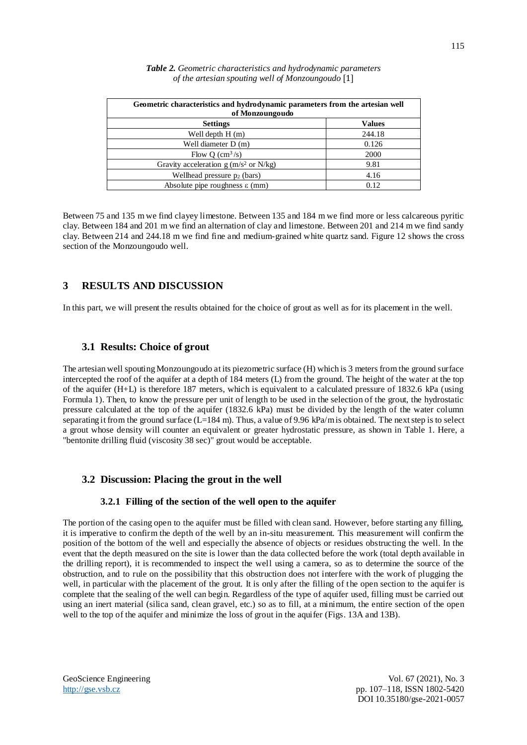| Geometric characteristics and hydrodynamic parameters from the artesian well<br>of Monzoungoudo |               |  |
|-------------------------------------------------------------------------------------------------|---------------|--|
| <b>Settings</b>                                                                                 | <b>Values</b> |  |
| Well depth $H(m)$                                                                               | 244.18        |  |
| Well diameter D (m)                                                                             | 0.126         |  |
| Flow O $\text{(cm}^3\text{/s)}$                                                                 | 2000          |  |
| Gravity acceleration $g(m/s^2 \text{ or } N/kg)$                                                | 9.81          |  |
| Wellhead pressure $p_2$ (bars)                                                                  | 4.16          |  |
| Absolute pipe roughness $\varepsilon$ (mm)                                                      | 0.12          |  |

*Table 2. Geometric characteristics and hydrodynamic parameters of the artesian spouting well of Monzoungoudo* [1]

Between 75 and 135 m we find clayey limestone. Between 135 and 184 m we find more or less calcareous pyritic clay. Between 184 and 201 m we find an alternation of clay and limestone. Between 201 and 214 m we find sandy clay. Between 214 and 244.18 m we find fine and medium-grained white quartz sand. Figure 12 shows the cross section of the Monzoungoudo well.

#### **3 RESULTS AND DISCUSSION**

In this part, we will present the results obtained for the choice of grout as well as for its placement in the well.

#### **3.1 Results: Choice of grout**

The artesian well spouting Monzoungoudo at its piezometric surface (H) which is 3 meters from the ground surface intercepted the roof of the aquifer at a depth of 184 meters (L) from the ground. The height of the water at the top of the aquifer (H+L) is therefore 187 meters, which is equivalent to a calculated pressure of 1832.6 kPa (using Formula 1). Then, to know the pressure per unit of length to be used in the selection of the grout, the hydrostatic pressure calculated at the top of the aquifer (1832.6 kPa) must be divided by the length of the water column separating it from the ground surface (L=184 m). Thus, a value of 9.96 kPa/m is obtained. The next step is to select a grout whose density will counter an equivalent or greater hydrostatic pressure, as shown in Table 1. Here, a "bentonite drilling fluid (viscosity 38 sec)" grout would be acceptable.

### **3.2 Discussion: Placing the grout in the well**

#### **3.2.1 Filling of the section of the well open to the aquifer**

The portion of the casing open to the aquifer must be filled with clean sand. However, before starting any filling, it is imperative to confirm the depth of the well by an in-situ measurement. This measurement will confirm the position of the bottom of the well and especially the absence of objects or residues obstructing the well. In the event that the depth measured on the site is lower than the data collected before the work (total depth available in the drilling report), it is recommended to inspect the well using a camera, so as to determine the source of the obstruction, and to rule on the possibility that this obstruction does not interfere with the work of plugging the well, in particular with the placement of the grout. It is only after the filling of the open section to the aquifer is complete that the sealing of the well can begin. Regardless of the type of aquifer used, filling must be carried out using an inert material (silica sand, clean gravel, etc.) so as to fill, at a minimum, the entire section of the open well to the top of the aquifer and minimize the loss of grout in the aquifer (Figs. 13A and 13B).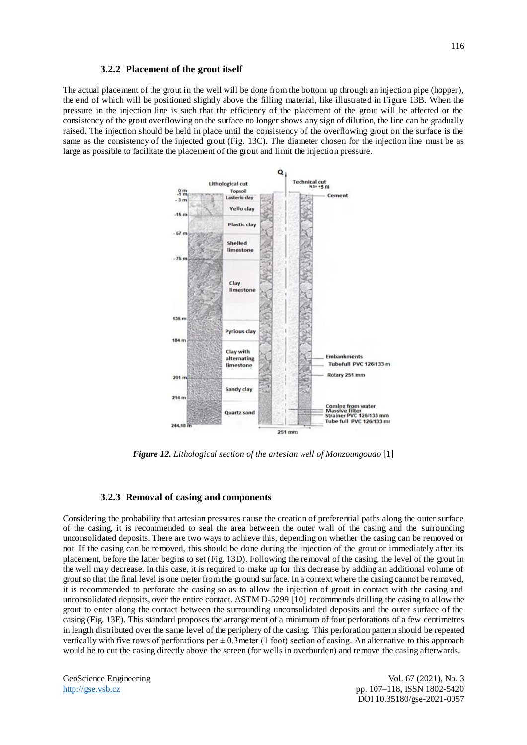#### **3.2.2 Placement of the grout itself**

The actual placement of the grout in the well will be done from the bottom up through an injection pipe (hopper), the end of which will be positioned slightly above the filling material, like illustrated in Figure 13B. When the pressure in the injection line is such that the efficiency of the placement of the grout will be affected or the consistency of the grout overflowing on the surface no longer shows any sign of dilution, the line can be gradually raised. The injection should be held in place until the consistency of the overflowing grout on the surface is the same as the consistency of the injected grout (Fig. 13C). The diameter chosen for the injection line must be as large as possible to facilitate the placement of the grout and limit the injection pressure.



*Figure 12. Lithological section of the artesian well of Monzoungoudo* [1]

#### **3.2.3 Removal of casing and components**

Considering the probability that artesian pressures cause the creation of preferential paths along the outer surface of the casing, it is recommended to seal the area between the outer wall of the casing and the surrounding unconsolidated deposits. There are two ways to achieve this, depending on whether the casing can be removed or not. If the casing can be removed, this should be done during the injection of the grout or immediately after its placement, before the latter begins to set (Fig. 13D). Following the removal of the casing, the level of the grout in the well may decrease. In this case, it is required to make up for this decrease by adding an additional volume of grout so that the final level is one meter from the ground surface. In a context where the casing cannot be removed, it is recommended to perforate the casing so as to allow the injection of grout in contact with the casing and unconsolidated deposits, over the entire contact. ASTM D-5299 [10] recommends drilling the casing to allow the grout to enter along the contact between the surrounding unconsolidated deposits and the outer surface of the casing (Fig. 13E). This standard proposes the arrangement of a minimum of four perforations of a few centimetres in length distributed over the same level of the periphery of the casing. This perforation pattern should be repeated vertically with five rows of perforations per  $\pm$  0.3 meter (1 foot) section of casing. An alternative to this approach would be to cut the casing directly above the screen (for wells in overburden) and remove the casing afterwards.

GeoScience Engineering Vol. 67 (2021), No. 3 [http://gse.vsb.cz](http://gse.vsb.cz/) pp. 107–118, ISSN 1802-5420 DOI 10.35180/gse-2021-0057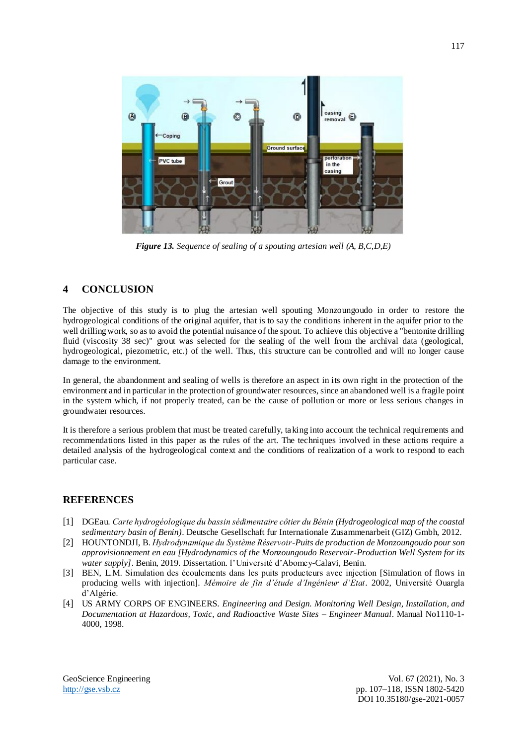

*Figure 13. Sequence of sealing of a spouting artesian well (A, B,C,D,E)*

### **4 CONCLUSION**

The objective of this study is to plug the artesian well spouting Monzoungoudo in order to restore the hydrogeological conditions of the original aquifer, that is to say the conditions inherent in the aquifer prior to the well drilling work, so as to avoid the potential nuisance of the spout. To achieve this objective a "bentonite drilling fluid (viscosity 38 sec)" grout was selected for the sealing of the well from the archival data (geological, hydrogeological, piezometric, etc.) of the well. Thus, this structure can be controlled and will no longer cause damage to the environment.

In general, the abandonment and sealing of wells is therefore an aspect in its own right in the protection of the environment and in particular in the protection of groundwater resources, since an abandoned well is a fragile point in the system which, if not properly treated, can be the cause of pollution or more or less serious changes in groundwater resources.

It is therefore a serious problem that must be treated carefully, taking into account the technical requirements and recommendations listed in this paper as the rules of the art. The techniques involved in these actions require a detailed analysis of the hydrogeological context and the conditions of realization of a work to respond to each particular case.

#### **REFERENCES**

- [1] DGEau. *Carte hydrogéologique du bassin sédimentaire côtier du Bénin (Hydrogeological map of the coastal sedimentary basin of Benin)*. Deutsche Gesellschaft fur Internationale Zusammenarbeit (GIZ) Gmbh, 2012.
- [2] HOUNTONDJI, B. *Hydrodynamique du Système Réservoir-Puits de production de Monzoungoudo pour son approvisionnement en eau [Hydrodynamics of the Monzoungoudo Reservoir-Production Well System for its water supply]*. Benin, 2019. Dissertation. l'Université d'Abomey-Calavi, Benin.
- [3] BEN, L.M. Simulation des écoulements dans les puits producteurs avec injection [Simulation of flows in producing wells with injection]. *Mémoire de fin d'étude d'Ingénieur d'Etat*. 2002, Université Ouargla d'Algérie.
- [4] US ARMY CORPS OF ENGINEERS. *Engineering and Design. Monitoring Well Design, Installation, and Documentation at Hazardous, Toxic, and Radioactive Waste Sites – Engineer Manual*. Manual No1110-1- 4000, 1998.

GeoScience Engineering Vol. 67 (2021), No. 3 [http://gse.vsb.cz](http://gse.vsb.cz/) pp. 107–118, ISSN 1802-5420 DOI 10.35180/gse-2021-0057